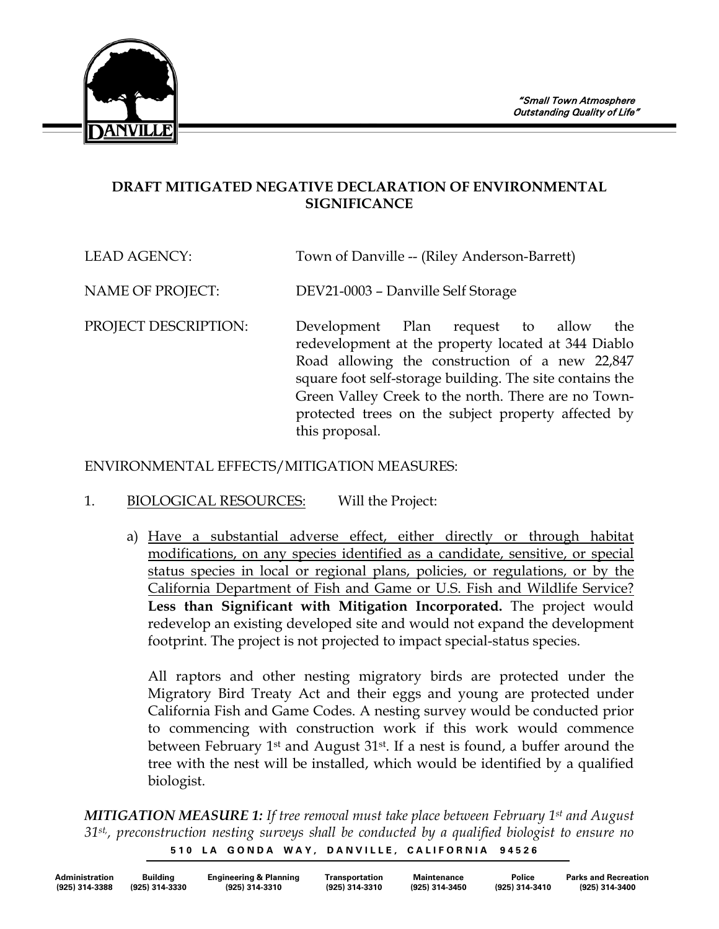

## **DRAFT MITIGATED NEGATIVE DECLARATION OF ENVIRONMENTAL SIGNIFICANCE**

LEAD AGENCY: Town of Danville -- (Riley Anderson-Barrett)

NAME OF PROJECT: DEV21-0003 – Danville Self Storage

PROJECT DESCRIPTION: Development Plan request to allow the redevelopment at the property located at 344 Diablo Road allowing the construction of a new 22,847 square foot self-storage building. The site contains the Green Valley Creek to the north. There are no Townprotected trees on the subject property affected by this proposal.

ENVIRONMENTAL EFFECTS/MITIGATION MEASURES:

- 1. BIOLOGICAL RESOURCES: Will the Project:
	- a) Have a substantial adverse effect, either directly or through habitat modifications, on any species identified as a candidate, sensitive, or special status species in local or regional plans, policies, or regulations, or by the California Department of Fish and Game or U.S. Fish and Wildlife Service? **Less than Significant with Mitigation Incorporated.** The project would redevelop an existing developed site and would not expand the development footprint. The project is not projected to impact special-status species.

All raptors and other nesting migratory birds are protected under the Migratory Bird Treaty Act and their eggs and young are protected under California Fish and Game Codes. A nesting survey would be conducted prior to commencing with construction work if this work would commence between February 1st and August 31st. If a nest is found, a buffer around the tree with the nest will be installed, which would be identified by a qualified biologist.

510 LA GONDA WAY, DANVILLE, CALIFORNIA 94526 *MITIGATION MEASURE 1: If tree removal must take place between February 1st and August 31st,, preconstruction nesting surveys shall be conducted by a qualified biologist to ensure no* 

| <b>Administration</b> | Building       | <b>Engineering &amp; Planning</b> | Transportation | <b>Maintenance</b> | Police         | <b>Parks and Recreation</b> |
|-----------------------|----------------|-----------------------------------|----------------|--------------------|----------------|-----------------------------|
| (925) 314-3388        | (925) 314-3330 | (925) 314-3310                    | (925) 314-3310 | (925) 314-3450     | (925) 314-3410 | (925) 314-3400              |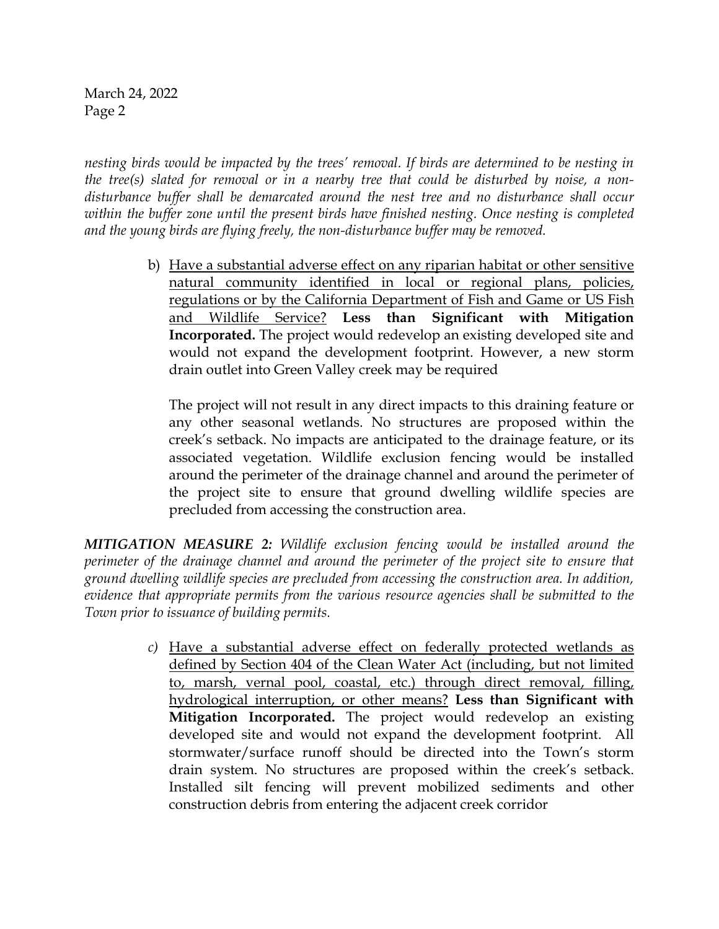*nesting birds would be impacted by the trees' removal. If birds are determined to be nesting in the tree(s) slated for removal or in a nearby tree that could be disturbed by noise, a nondisturbance buffer shall be demarcated around the nest tree and no disturbance shall occur within the buffer zone until the present birds have finished nesting. Once nesting is completed and the young birds are flying freely, the non-disturbance buffer may be removed.*

> b) Have a substantial adverse effect on any riparian habitat or other sensitive natural community identified in local or regional plans, policies, regulations or by the California Department of Fish and Game or US Fish and Wildlife Service? **Less than Significant with Mitigation Incorporated.** The project would redevelop an existing developed site and would not expand the development footprint. However, a new storm drain outlet into Green Valley creek may be required

The project will not result in any direct impacts to this draining feature or any other seasonal wetlands. No structures are proposed within the creek's setback. No impacts are anticipated to the drainage feature, or its associated vegetation. Wildlife exclusion fencing would be installed around the perimeter of the drainage channel and around the perimeter of the project site to ensure that ground dwelling wildlife species are precluded from accessing the construction area.

*MITIGATION MEASURE 2: Wildlife exclusion fencing would be installed around the perimeter of the drainage channel and around the perimeter of the project site to ensure that ground dwelling wildlife species are precluded from accessing the construction area. In addition, evidence that appropriate permits from the various resource agencies shall be submitted to the Town prior to issuance of building permits.*

> *c)* Have a substantial adverse effect on federally protected wetlands as defined by Section 404 of the Clean Water Act (including, but not limited to, marsh, vernal pool, coastal, etc.) through direct removal, filling, hydrological interruption, or other means? **Less than Significant with Mitigation Incorporated.** The project would redevelop an existing developed site and would not expand the development footprint. All stormwater/surface runoff should be directed into the Town's storm drain system. No structures are proposed within the creek's setback. Installed silt fencing will prevent mobilized sediments and other construction debris from entering the adjacent creek corridor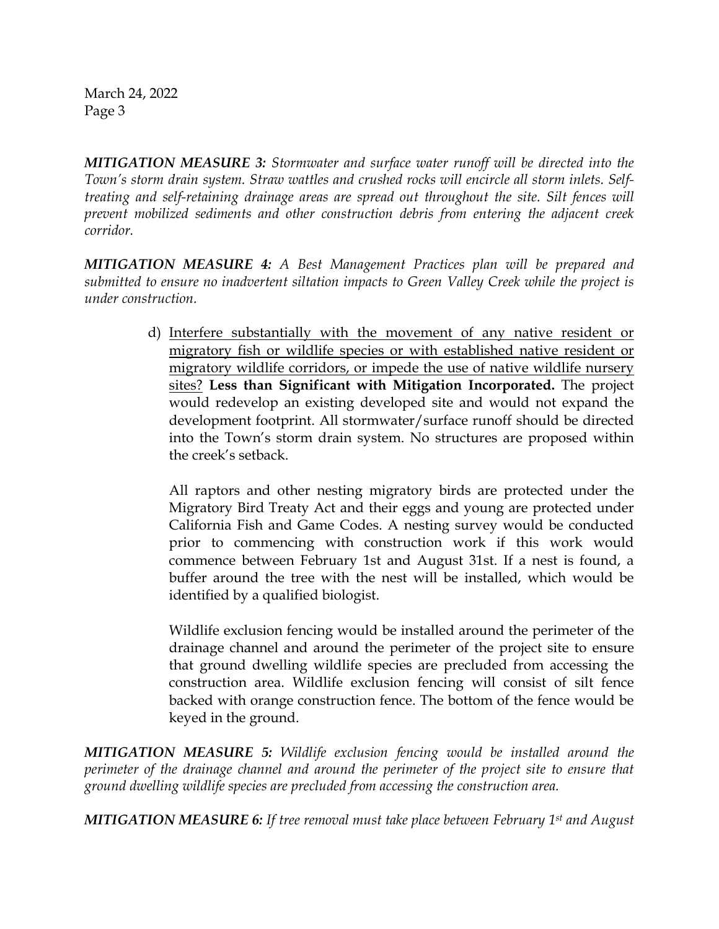*MITIGATION MEASURE 3: Stormwater and surface water runoff will be directed into the Town's storm drain system. Straw wattles and crushed rocks will encircle all storm inlets. Selftreating and self-retaining drainage areas are spread out throughout the site. Silt fences will prevent mobilized sediments and other construction debris from entering the adjacent creek corridor.*

*MITIGATION MEASURE 4: A Best Management Practices plan will be prepared and submitted to ensure no inadvertent siltation impacts to Green Valley Creek while the project is under construction.*

> d) Interfere substantially with the movement of any native resident or migratory fish or wildlife species or with established native resident or migratory wildlife corridors, or impede the use of native wildlife nursery sites? **Less than Significant with Mitigation Incorporated.** The project would redevelop an existing developed site and would not expand the development footprint. All stormwater/surface runoff should be directed into the Town's storm drain system. No structures are proposed within the creek's setback.

All raptors and other nesting migratory birds are protected under the Migratory Bird Treaty Act and their eggs and young are protected under California Fish and Game Codes. A nesting survey would be conducted prior to commencing with construction work if this work would commence between February 1st and August 31st. If a nest is found, a buffer around the tree with the nest will be installed, which would be identified by a qualified biologist.

Wildlife exclusion fencing would be installed around the perimeter of the drainage channel and around the perimeter of the project site to ensure that ground dwelling wildlife species are precluded from accessing the construction area. Wildlife exclusion fencing will consist of silt fence backed with orange construction fence. The bottom of the fence would be keyed in the ground.

*MITIGATION MEASURE 5: Wildlife exclusion fencing would be installed around the perimeter of the drainage channel and around the perimeter of the project site to ensure that ground dwelling wildlife species are precluded from accessing the construction area.*

*MITIGATION MEASURE 6: If tree removal must take place between February 1st and August*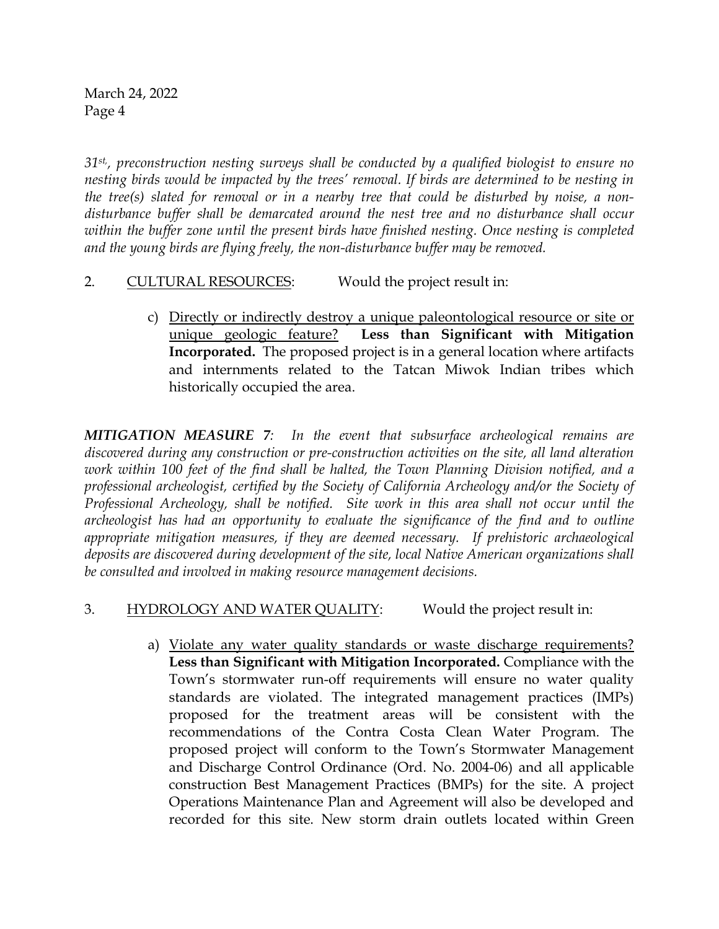*31st,, preconstruction nesting surveys shall be conducted by a qualified biologist to ensure no nesting birds would be impacted by the trees' removal. If birds are determined to be nesting in the tree(s) slated for removal or in a nearby tree that could be disturbed by noise, a nondisturbance buffer shall be demarcated around the nest tree and no disturbance shall occur within the buffer zone until the present birds have finished nesting. Once nesting is completed and the young birds are flying freely, the non-disturbance buffer may be removed.*

## 2. CULTURAL RESOURCES: Would the project result in:

c) Directly or indirectly destroy a unique paleontological resource or site or unique geologic feature? **Less than Significant with Mitigation Incorporated.** The proposed project is in a general location where artifacts and internments related to the Tatcan Miwok Indian tribes which historically occupied the area.

*MITIGATION MEASURE 7: In the event that subsurface archeological remains are discovered during any construction or pre-construction activities on the site, all land alteration work within 100 feet of the find shall be halted, the Town Planning Division notified, and a professional archeologist, certified by the Society of California Archeology and/or the Society of Professional Archeology, shall be notified. Site work in this area shall not occur until the archeologist has had an opportunity to evaluate the significance of the find and to outline appropriate mitigation measures, if they are deemed necessary. If prehistoric archaeological deposits are discovered during development of the site, local Native American organizations shall be consulted and involved in making resource management decisions.*

## 3. HYDROLOGY AND WATER QUALITY: Would the project result in:

a) Violate any water quality standards or waste discharge requirements? **Less than Significant with Mitigation Incorporated.** Compliance with the Town's stormwater run-off requirements will ensure no water quality standards are violated. The integrated management practices (IMPs) proposed for the treatment areas will be consistent with the recommendations of the Contra Costa Clean Water Program. The proposed project will conform to the Town's Stormwater Management and Discharge Control Ordinance (Ord. No. 2004-06) and all applicable construction Best Management Practices (BMPs) for the site. A project Operations Maintenance Plan and Agreement will also be developed and recorded for this site. New storm drain outlets located within Green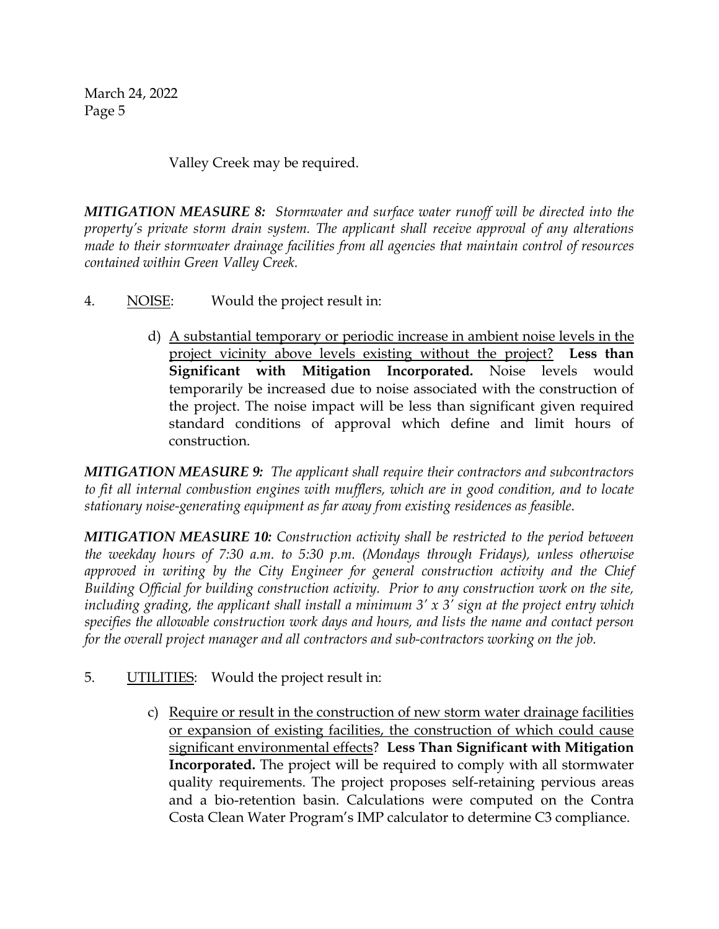Valley Creek may be required.

*MITIGATION MEASURE 8: Stormwater and surface water runoff will be directed into the property's private storm drain system. The applicant shall receive approval of any alterations made to their stormwater drainage facilities from all agencies that maintain control of resources contained within Green Valley Creek.*

- 4. NOISE: Would the project result in:
	- d) A substantial temporary or periodic increase in ambient noise levels in the project vicinity above levels existing without the project? **Less than Significant with Mitigation Incorporated.** Noise levels would temporarily be increased due to noise associated with the construction of the project. The noise impact will be less than significant given required standard conditions of approval which define and limit hours of construction.

*MITIGATION MEASURE 9: The applicant shall require their contractors and subcontractors to fit all internal combustion engines with mufflers, which are in good condition, and to locate stationary noise-generating equipment as far away from existing residences as feasible.*

*MITIGATION MEASURE 10: Construction activity shall be restricted to the period between the weekday hours of 7:30 a.m. to 5:30 p.m. (Mondays through Fridays), unless otherwise approved in writing by the City Engineer for general construction activity and the Chief Building Official for building construction activity. Prior to any construction work on the site, including grading, the applicant shall install a minimum 3' x 3' sign at the project entry which specifies the allowable construction work days and hours, and lists the name and contact person for the overall project manager and all contractors and sub-contractors working on the job.*

- 5. UTILITIES: Would the project result in:
	- c) Require or result in the construction of new storm water drainage facilities or expansion of existing facilities, the construction of which could cause significant environmental effects? **Less Than Significant with Mitigation Incorporated.** The project will be required to comply with all stormwater quality requirements. The project proposes self-retaining pervious areas and a bio-retention basin. Calculations were computed on the Contra Costa Clean Water Program's IMP calculator to determine C3 compliance.